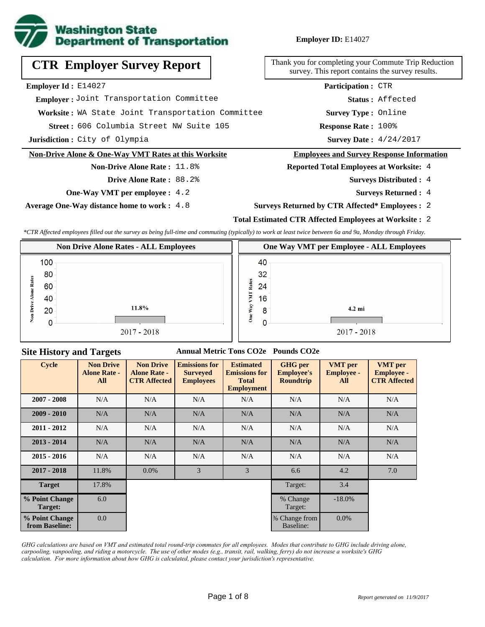

**Employer ID:** E14027

| <b>CTR Employer Survey Report</b>                    | Thank you for completing your Commute Trip Reduction<br>survey. This report contains the survey results. |  |  |  |  |
|------------------------------------------------------|----------------------------------------------------------------------------------------------------------|--|--|--|--|
| Employer Id: E14027                                  | <b>Participation: CTR</b>                                                                                |  |  |  |  |
| Employer: Joint Transportation Committee             | Status: Affected                                                                                         |  |  |  |  |
| Worksite: WA State Joint Transportation Committee    | <b>Survey Type: Online</b>                                                                               |  |  |  |  |
| Street: 606 Columbia Street NW Suite 105             | Response Rate: 100%                                                                                      |  |  |  |  |
| Jurisdiction: City of Olympia                        | <b>Survey Date: 4/24/2017</b>                                                                            |  |  |  |  |
| Non-Drive Alone & One-Way VMT Rates at this Worksite | <b>Employees and Survey Response Information</b>                                                         |  |  |  |  |
| <b>Non-Drive Alone Rate: 11.8%</b>                   | <b>Reported Total Employees at Worksite: 4</b>                                                           |  |  |  |  |
| Drive Alone Rate: 88.2%                              | <b>Surveys Distributed : 4</b>                                                                           |  |  |  |  |
| $\blacksquare$                                       | $\sim$ $\sim$ $\sim$ $\sim$ $\sim$ $\sim$                                                                |  |  |  |  |

**One-Way VMT per employee :** 4.2

**Average One-Way distance home to work :** 4.8

- **Surveys Returned :** 4
- **Surveys Returned by CTR Affected\* Employees :** 2

#### **Total Estimated CTR Affected Employees at Worksite :** 2

*\*CTR Affected employees filled out the survey as being full-time and commuting (typically) to work at least twice between 6a and 9a, Monday through Friday.*

| <b>Non Drive Alone Rates - ALL Employees</b> |                          |  |                 | One Way VMT per Employee - ALL Employees |  |  |  |  |
|----------------------------------------------|--------------------------|--|-----------------|------------------------------------------|--|--|--|--|
|                                              | 100                      |  | 40              |                                          |  |  |  |  |
|                                              | 80                       |  | 32 <sub>2</sub> |                                          |  |  |  |  |
|                                              | 60                       |  | æ<br>Rate<br>24 |                                          |  |  |  |  |
|                                              | 40                       |  | Σ<br>16         |                                          |  |  |  |  |
|                                              | 11.8%<br>20 <sub>1</sub> |  | 8<br>B.         | $4.2 \text{ mi}$                         |  |  |  |  |
| ァ                                            |                          |  | ō<br>0          |                                          |  |  |  |  |
|                                              | $2017 - 2018$            |  |                 | $2017 - 2018$                            |  |  |  |  |

#### **Site History and Targets**

#### **Annual Metric Tons CO2e Pounds CO2e**

| <b>Cycle</b>                     | <b>Non Drive</b><br><b>Alone Rate -</b><br>All | <b>Non Drive</b><br><b>Alone Rate -</b><br><b>CTR Affected</b> | <b>Emissions for</b><br><b>Surveyed</b><br><b>Employees</b> | <b>Estimated</b><br><b>Emissions for</b><br><b>Total</b><br><b>Employment</b> | <b>GHG</b> per<br><b>Employee's</b><br><b>Roundtrip</b> | <b>VMT</b> per<br><b>Employee -</b><br>All | <b>VMT</b> per<br><b>Employee -</b><br><b>CTR Affected</b> |
|----------------------------------|------------------------------------------------|----------------------------------------------------------------|-------------------------------------------------------------|-------------------------------------------------------------------------------|---------------------------------------------------------|--------------------------------------------|------------------------------------------------------------|
| $2007 - 2008$                    | N/A                                            | N/A                                                            | N/A                                                         | N/A                                                                           | N/A                                                     | N/A                                        | N/A                                                        |
| $2009 - 2010$                    | N/A                                            | N/A                                                            | N/A                                                         | N/A                                                                           | N/A                                                     | N/A                                        | N/A                                                        |
| $2011 - 2012$                    | N/A                                            | N/A                                                            | N/A                                                         | N/A                                                                           | N/A                                                     | N/A                                        | N/A                                                        |
| $2013 - 2014$                    | N/A                                            | N/A                                                            | N/A                                                         | N/A                                                                           | N/A                                                     | N/A                                        | N/A                                                        |
| $2015 - 2016$                    | N/A                                            | N/A                                                            | N/A                                                         | N/A                                                                           | N/A                                                     | N/A                                        | N/A                                                        |
| $2017 - 2018$                    | 11.8%                                          | $0.0\%$                                                        | 3                                                           | 3                                                                             | 6.6                                                     | 4.2                                        | 7.0                                                        |
| <b>Target</b>                    | 17.8%                                          |                                                                |                                                             |                                                                               | Target:                                                 | 3.4                                        |                                                            |
| % Point Change<br>Target:        | 6.0                                            |                                                                |                                                             |                                                                               | % Change<br>Target:                                     | $-18.0\%$                                  |                                                            |
| % Point Change<br>from Baseline: | 0.0                                            |                                                                |                                                             |                                                                               | % Change from<br>Baseline:                              | $0.0\%$                                    |                                                            |

*GHG calculations are based on VMT and estimated total round-trip commutes for all employees. Modes that contribute to GHG include driving alone, carpooling, vanpooling, and riding a motorcycle. The use of other modes (e.g., transit, rail, walking, ferry) do not increase a worksite's GHG calculation. For more information about how GHG is calculated, please contact your jurisdiction's representative.*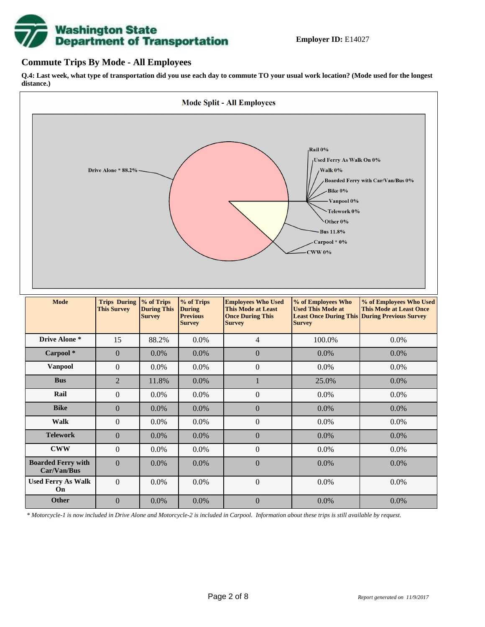# **Washington State<br>Department of Transportation**

## **Commute Trips By Mode - All Employees**

**Q.4: Last week, what type of transportation did you use each day to commute TO your usual work location? (Mode used for the longest distance.)**



*\* Motorcycle-1 is now included in Drive Alone and Motorcycle-2 is included in Carpool. Information about these trips is still available by request.*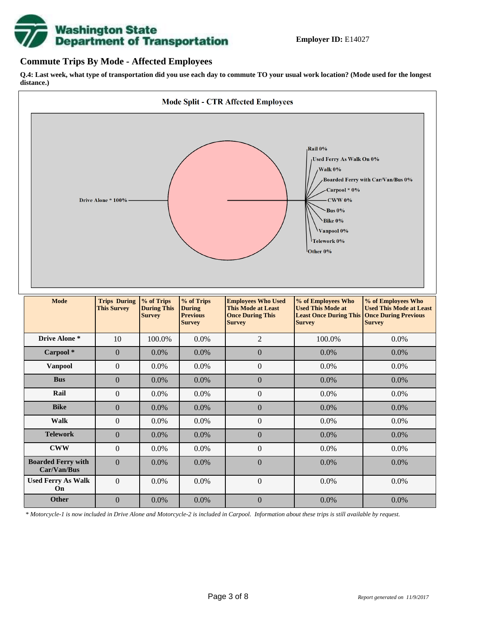

### **Commute Trips By Mode - Affected Employees**

**Q.4: Last week, what type of transportation did you use each day to commute TO your usual work location? (Mode used for the longest distance.)**



*\* Motorcycle-1 is now included in Drive Alone and Motorcycle-2 is included in Carpool. Information about these trips is still available by request.*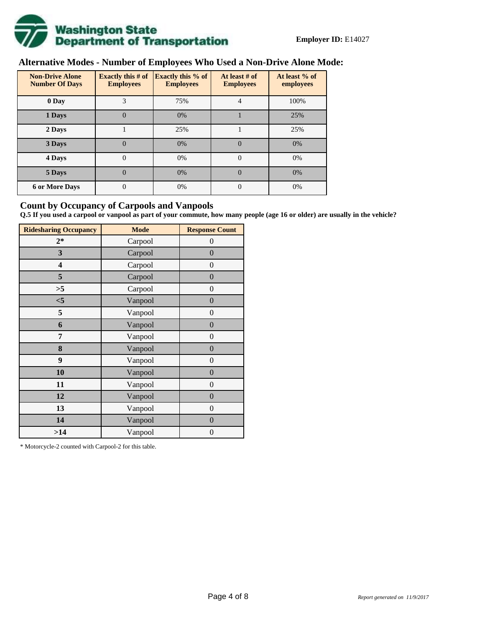

# **Alternative Modes - Number of Employees Who Used a Non-Drive Alone Mode:**

| <b>Non-Drive Alone</b><br><b>Number Of Days</b> | Exactly this $# of$<br><b>Employees</b> | <b>Exactly this % of</b><br><b>Employees</b> | At least # of<br><b>Employees</b> | At least % of<br>employees |
|-------------------------------------------------|-----------------------------------------|----------------------------------------------|-----------------------------------|----------------------------|
| 0 Day                                           | 3                                       | 75%                                          | 4                                 | 100%                       |
| 1 Days                                          | 0                                       | 0%                                           |                                   | 25%                        |
| 2 Days                                          |                                         | 25%                                          |                                   | 25%                        |
| 3 Days                                          | 0                                       | 0%                                           | $\theta$                          | 0%                         |
| 4 Days                                          | $\theta$                                | 0%                                           | $\Omega$                          | 0%                         |
| 5 Days                                          | $\theta$                                | 0%                                           | $\Omega$                          | 0%                         |
| <b>6 or More Days</b>                           | $\overline{0}$                          | 0%                                           | $\Omega$                          | 0%                         |

## **Count by Occupancy of Carpools and Vanpools**

**Q.5 If you used a carpool or vanpool as part of your commute, how many people (age 16 or older) are usually in the vehicle?**

| <b>Ridesharing Occupancy</b> | <b>Mode</b> | <b>Response Count</b> |
|------------------------------|-------------|-----------------------|
| $2*$                         | Carpool     | 0                     |
| 3                            | Carpool     | $\boldsymbol{0}$      |
| 4                            | Carpool     | $\boldsymbol{0}$      |
| 5                            | Carpool     | $\boldsymbol{0}$      |
| >5                           | Carpool     | $\overline{0}$        |
| $<$ 5                        | Vanpool     | $\overline{0}$        |
| 5                            | Vanpool     | $\boldsymbol{0}$      |
| 6                            | Vanpool     | $\boldsymbol{0}$      |
| 7                            | Vanpool     | $\boldsymbol{0}$      |
| 8                            | Vanpool     | $\boldsymbol{0}$      |
| 9                            | Vanpool     | $\boldsymbol{0}$      |
| 10                           | Vanpool     | $\overline{0}$        |
| 11                           | Vanpool     | $\overline{0}$        |
| 12                           | Vanpool     | $\boldsymbol{0}$      |
| 13                           | Vanpool     | $\boldsymbol{0}$      |
| 14                           | Vanpool     | $\overline{0}$        |
| >14                          | Vanpool     | $\boldsymbol{0}$      |

\* Motorcycle-2 counted with Carpool-2 for this table.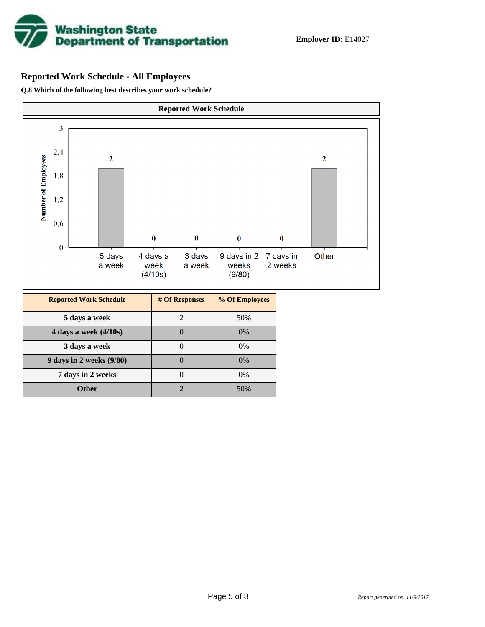

## **Reported Work Schedule - All Employees**

**Q.8 Which of the following best describes your work schedule?**

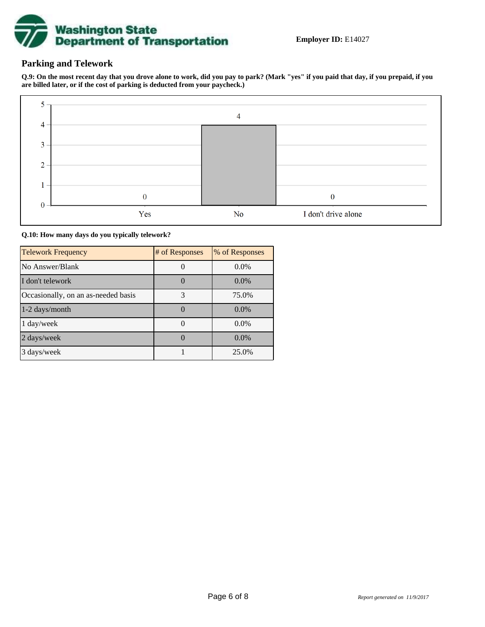

## **Parking and Telework**

**Q.9: On the most recent day that you drove alone to work, did you pay to park? (Mark "yes" if you paid that day, if you prepaid, if you are billed later, or if the cost of parking is deducted from your paycheck.)**



#### **Q.10: How many days do you typically telework?**

| <b>Telework Frequency</b>           | # of Responses | % of Responses |
|-------------------------------------|----------------|----------------|
| No Answer/Blank                     |                | $0.0\%$        |
| I don't telework                    |                | $0.0\%$        |
| Occasionally, on an as-needed basis | 3              | 75.0%          |
| $1-2$ days/month                    |                | $0.0\%$        |
| 1 day/week                          |                | $0.0\%$        |
| 2 days/week                         |                | $0.0\%$        |
| 3 days/week                         |                | 25.0%          |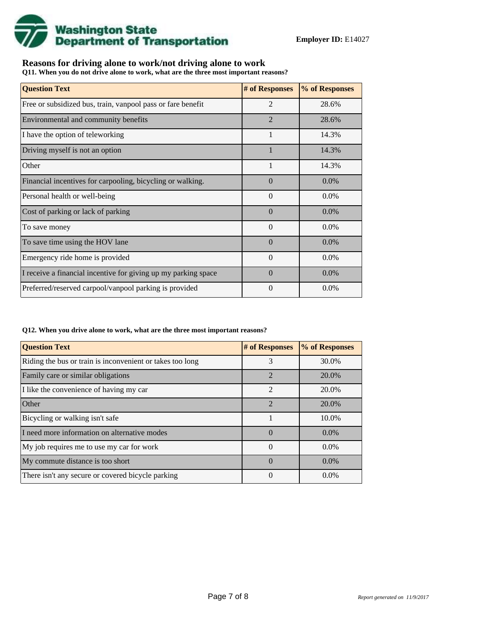

## **Reasons for driving alone to work/not driving alone to work**

**Q11. When you do not drive alone to work, what are the three most important reasons?**

| <b>Question Text</b>                                           | # of Responses | % of Responses |
|----------------------------------------------------------------|----------------|----------------|
| Free or subsidized bus, train, vanpool pass or fare benefit    | $\overline{2}$ | 28.6%          |
| Environmental and community benefits                           | $\overline{2}$ | 28.6%          |
| I have the option of teleworking                               | $\mathbf{1}$   | 14.3%          |
| Driving myself is not an option                                |                | 14.3%          |
| Other                                                          | $\mathbf{1}$   | 14.3%          |
| Financial incentives for carpooling, bicycling or walking.     | $\Omega$       | $0.0\%$        |
| Personal health or well-being                                  | $\Omega$       | $0.0\%$        |
| Cost of parking or lack of parking                             | $\Omega$       | $0.0\%$        |
| To save money                                                  | $\theta$       | 0.0%           |
| To save time using the HOV lane                                | $\Omega$       | $0.0\%$        |
| Emergency ride home is provided                                | $\Omega$       | 0.0%           |
| I receive a financial incentive for giving up my parking space | $\Omega$       | $0.0\%$        |
| Preferred/reserved carpool/vanpool parking is provided         | $\Omega$       | $0.0\%$        |

#### **Q12. When you drive alone to work, what are the three most important reasons?**

| <b>Question Text</b>                                      | # of Responses | % of Responses |
|-----------------------------------------------------------|----------------|----------------|
| Riding the bus or train is inconvenient or takes too long | 3              | 30.0%          |
| Family care or similar obligations                        | $\mathfrak{D}$ | 20.0%          |
| I like the convenience of having my car                   | $\mathfrak{D}$ | 20.0%          |
| <b>Other</b>                                              | $\mathfrak{D}$ | 20.0%          |
| Bicycling or walking isn't safe                           |                | 10.0%          |
| I need more information on alternative modes              | $\Omega$       | $0.0\%$        |
| My job requires me to use my car for work                 | $\Omega$       | $0.0\%$        |
| My commute distance is too short                          | $\Omega$       | $0.0\%$        |
| There isn't any secure or covered bicycle parking         | $\theta$       | $0.0\%$        |